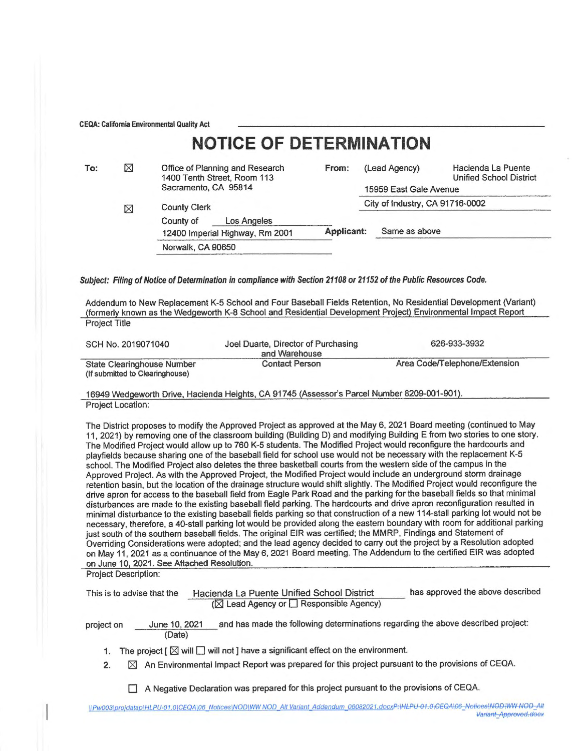CEQA: California Environmental Quality Act

|     |   | <b>NOTICE OF DETERMINATION</b>                                 |            |                                 |                                               |  |
|-----|---|----------------------------------------------------------------|------------|---------------------------------|-----------------------------------------------|--|
| To: | ⊠ | Office of Planning and Research<br>1400 Tenth Street, Room 113 | From:      | (Lead Agency)                   | Hacienda La Puente<br>Unified School District |  |
|     |   | Sacramento, CA 95814                                           |            | 15959 East Gale Avenue          |                                               |  |
|     | ⊠ | <b>County Clerk</b>                                            |            | City of Industry, CA 91716-0002 |                                               |  |
|     |   | Los Angeles<br>County of<br>12400 Imperial Highway, Rm 2001    | Applicant: | Same as above                   |                                               |  |
|     |   | Norwalk, CA 90650                                              |            |                                 |                                               |  |
|     |   |                                                                |            |                                 |                                               |  |

Subject: Filing of Notice of Determination in compliance with Section 21108 or 21152 of the Public Resources Code.

Addendum to New Replacement K-5 School and Four Baseball Fields Retention, No Residential Development (Variant) (formerly known as the Wedgeworth K-8 School and Residential Development Project) Environmental Impact Report Project Title

| SCH No. 2019071040                                            | Joel Duarte, Director of Purchasing<br>and Warehouse | 626-933-3932                  |  |
|---------------------------------------------------------------|------------------------------------------------------|-------------------------------|--|
| State Clearinghouse Number<br>(If submitted to Clearinghouse) | <b>Contact Person</b>                                | Area Code/Telephone/Extension |  |

16949 Wedgeworth Drive, Hacienda Heights, CA 91745 (Assessor's Parcel Number 8209-001-901). Project Location:

The District proposes to modify the Approved Project as approved at the May 6, 2021 Board meeting (continued to May 11, 2021) by removing one of the classroom building (Building D) and modifying Building E from two stories to one story. The Modified Project would allow up to 760 K-5 students. The Modified Project would reconfigure the hardcourts and playfields because sharing one of the baseball field for school use would not be necessary with the replacement K-5 school. The Modified Project also deletes the three basketball courts from the western side of the campus in the Approved Project. As with the Approved Project, the Modified Project would include an underground storm drainage retention basin, but the location of the drainage structure would shift slightly. The Modified Project would reconfigure the drive apron for access to the baseball field from Eagle Park Road and the parking for the baseball fields so that minimal disturbances are made to the existing baseball field parking. The hardcourts and drive apron reconfiguration resulted in minimal disturbance to the existing baseball fields parking so that construction of a new 114-stall parking lot would not be necessary, therefore, a 40-stall parking lot would be provided along the eastern boundary with room for additional parking just south of the southern baseball fields. The original EIR was certified; the MMRP, Findings and Statement of Overriding Considerations were adopted; and the lead agency decided to carry out the project by a Resolution adopted on May 11, 2021 as a continuance of the May 6, 2021 Board meeting. The Addendum to the certified EIR was adopted on June 10, 2021. See Attached Resolution.

Project Description:

| This is to advise that the                                                                                 |                                                                                                         |                         | Hacienda La Puente Unified School District<br>$(\boxtimes$ Lead Agency or $\Box$ Responsible Agency) | has approved the above described                                                         |  |
|------------------------------------------------------------------------------------------------------------|---------------------------------------------------------------------------------------------------------|-------------------------|------------------------------------------------------------------------------------------------------|------------------------------------------------------------------------------------------|--|
| project on                                                                                                 |                                                                                                         | June 10, 2021<br>(Date) |                                                                                                      | and has made the following determinations regarding the above described project:         |  |
| The project $\lceil \bigotimes$ will $\Box$ will not ] have a significant effect on the environment.<br>1. |                                                                                                         |                         |                                                                                                      |                                                                                          |  |
|                                                                                                            | An Environmental Impact Report was prepared for this project pursuant to the provisions of CEQA.<br>IXI |                         |                                                                                                      |                                                                                          |  |
|                                                                                                            |                                                                                                         |                         |                                                                                                      | A Negative Declaration was prepared for this project pursuant to the provisions of CEQA. |  |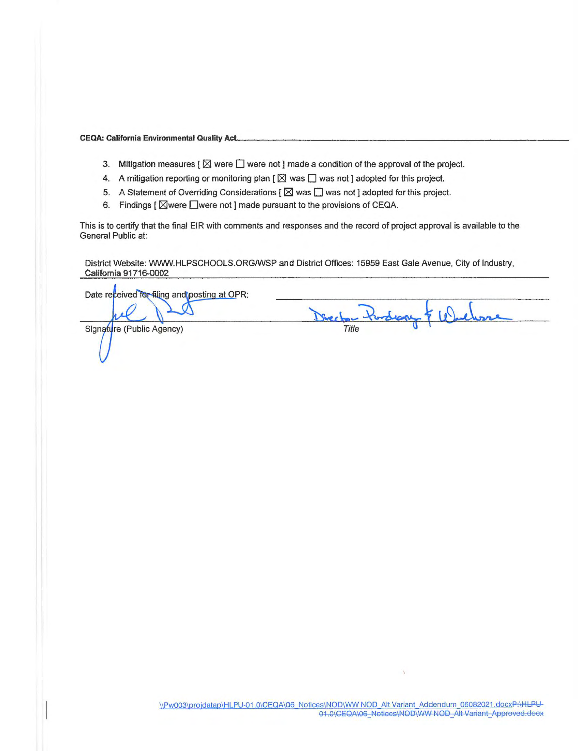**CEQA: California Environmental Quality Act.** 

- 3. Mitigation measures  $\lceil \boxtimes \rceil$  were  $\Box$  were not ] made a condition of the approval of the project.
- 4. A mitigation reporting or monitoring plan [  $\boxtimes$  was  $\Box$  was not ] adopted for this project.
- 5. A Statement of Overriding Considerations  $[\boxtimes]$  was  $\Box$  was not ] adopted for this project.
- 6. Findings  $\lceil \text{W} \rceil$   $\blacksquare$  were not ] made pursuant to the provisions of CEQA.

This is to certify that the final EIR with comments and responses and the record of project approval is available to the General Public at:

District Website: WWW.HLPSCHOOLS.ORG/WSP and District Offices: 15959 East Gale Avenue, City of Industry, California 91716-0002

Date received for filing and posting at OPR: Decha Pardrag & Warel Signature (Public Agency)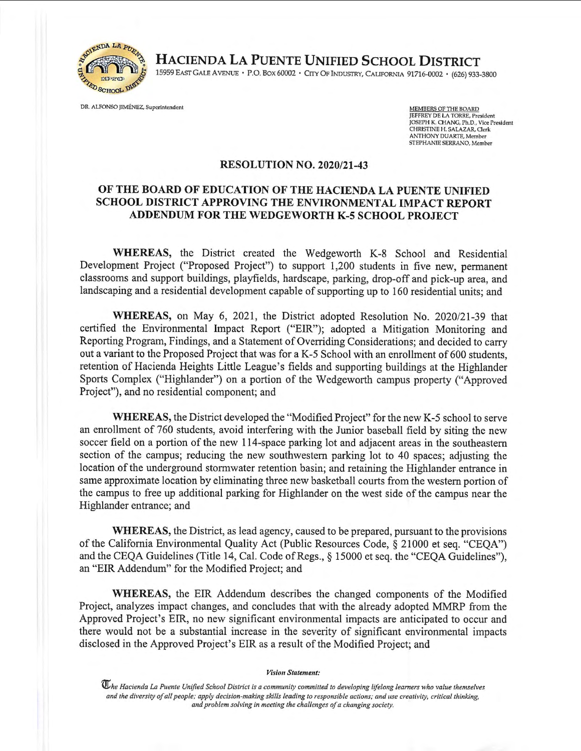

~~DA L41>&~ *I~\* **HACIENDA LA PUENTE UNIFIED SCHOOL DISTRICT** 

15959 EAST GALE A VENUE • P.O. BOX 60002 • CITY OF INDUSTRY, CALIFORNIA 91716-0002 • (626) 933-3800

DR. ALFONSO JIMENEZ, Superintendent

MEMBERS OF THE BOARD<br>JEFFREY DE LA TORRE, President JOSEPH K. CHANG, Ph.D., Vice President CHRISfINE H. SALAZAR, Ocrk ANTHONY DUARTE, Member SfEPHANIE SERRANO, Member

## **RESOLUTION NO. 2020/21-43**

## **OF THE BOARD OF EDUCATION OF THE HACIENDA LA PUENTE UNIFIED SCHOOL DISTRICT APPROVING THE ENVIRONMENTAL IMPACT REPORT ADDENDUM FOR THE WEDGEWORTH K-5 SCHOOL PROJECT**

**WHEREAS,** the District created the Wedgeworth K-8 School and Residential Development Project ("Proposed Project") to support 1,200 students in five new, permanent classrooms and support buildings, playfields, hardscape, parking, drop-off and pick-up area, and landscaping and a residential development capable of supporting up to 160 residential units; and

WHEREAS, on May 6, 2021, the District adopted Resolution No. 2020/21-39 that certified the Environmental Impact Report ("EIR"); adopted a Mitigation Monitoring and Reporting Program, Findings, and a Statement of Overriding Considerations; and decided to carry out a variant to the Proposed Project that was for a K-5 School with an enrollment of 600 students, retention of Hacienda Heights Little League's fields and supporting buildings at the Highlander Sports Complex ("Highlander") on a portion of the Wedgeworth campus property ("Approved Project"), and no residential component; and

**WHEREAS,** the District developed the "Modified Project" for the new K-5 school to serve an enrollment of 760 students, avoid interfering with the Junior baseball field by siting the new soccer field on a portion of the new 114-space parking lot and adjacent areas in the southeastern section of the campus; reducing the new southwestern parking lot to 40 spaces; adjusting the location of the underground stormwater retention basin; and retaining the Highlander entrance in same approximate location by eliminating three new basketball courts from the western portion of the campus to free up additional parking for Highlander on the west side of the campus near the Highlander entrance; and

**WHEREAS,** the District, as lead agency, caused to be prepared, pursuant to the provisions of the California Environmental Quality Act (Public Resources Code, § 21000 et seq. "CEQA") and the CEQA Guidelines (Title 14, Cal. Code of Regs.,§ 15000 et seq. the "CEQA Guidelines"), an "EIR Addendum" for the Modified Project; and

**WHEREAS,** the EIR Addendum describes the changed components of the Modified Project, analyzes impact changes, and concludes that with the already adopted MMRP from the Approved Project's EIR, no new significant environmental impacts are anticipated to occur and there would not be a substantial increase in the severity of significant environmental impacts disclosed in the Approved Project's EIR as a result of the Modified Project; and

*Vision Statement:* 

 $\mathbb U$ he Hacienda La Puente Unified School District is a community committed to developing lifelong learners who value themselves *and the diversity of all people; apply decision-making skills leading to responsible actions; and use creativity, critical thinking.*  and problem solving in meeting the challenges of a changing society.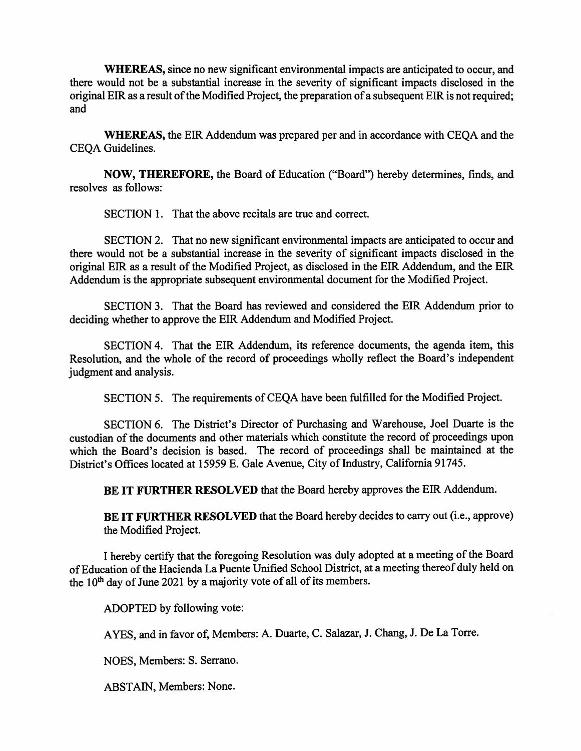**WHEREAS,** since no new significant environmental impacts are anticipated to occur, and there would not be a substantial increase in the severity of significant impacts disclosed in the original EIR as a result of the Modified Project, the preparation of a subsequent EIR is not required; and

**WHEREAS,** the EIR Addendum was prepared per and in accordance with CEQA and the CEQA Guidelines.

**NOW, THEREFORE,** the Board of Education ("Board") hereby determines, finds, and resolves as follows:

SECTION 1. That the above recitals are true and correct.

SECTION 2. That no new significant environmental impacts are anticipated to occur and there would not be a substantial increase in the severity of significant impacts disclosed in the original EIR as a result of the Modified Project, as disclosed in the EIR Addendum, and the EIR Addendum is the appropriate subsequent environmental document for the Modified Project.

SECTION 3. That the Board has reviewed and considered the EIR Addendum prior to deciding whether to approve the EIR Addendum and Modified Project.

SECTION 4. That the EIR Addendum, its reference documents, the agenda item, this Resolution, and the whole of the record of proceedings wholly reflect the Board's independent judgment and analysis.

SECTION 5. The requirements of CEQA have been fulfilled for the Modified Project.

SECTION 6. The District's Director of Purchasing and Warehouse, Joel Duarte is the custodian of the documents and other materials which constitute the record of proceedings upon which the Board's decision is based. The record of proceedings shall be maintained at the District's Offices located at 15959 E. Gale Avenue, City of Industry, California 91745.

**BE IT FURTHER RESOLVED** that the Board hereby approves the EIR Addendum.

**BE IT FURTHER RESOLVED** that the Board hereby decides to carry out (i.e., approve) the Modified Project.

I hereby certify that the foregoing Resolution was duly adopted at a meeting of the Board of Education of the Hacienda La Puente Unified School District, at a meeting thereof duly held on the 10<sup>th</sup> day of June 2021 by a majority vote of all of its members.

ADOPTED by following vote:

A YES, and in favor of, Members: A. Duarte, C. Salazar, J. Chang, J. De La Torre.

NOES, Members: S. Serrano.

ABSTAIN, Members: None.